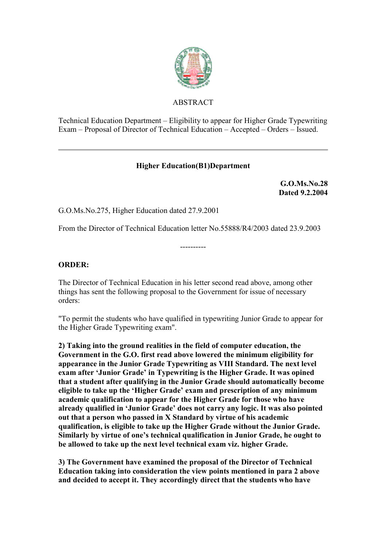

## ABSTRACT

Technical Education Department – Eligibility to appear for Higher Grade Typewriting Exam – Proposal of Director of Technical Education – Accepted – Orders – Issued.

## **Higher Education(B1)Department**

**G.O.Ms.No.28 Dated 9.2.2004**

G.O.Ms.No.275, Higher Education dated 27.9.2001

From the Director of Technical Education letter No.55888/R4/2003 dated 23.9.2003

----------

## **ORDER:**

The Director of Technical Education in his letter second read above, among other things has sent the following proposal to the Government for issue of necessary orders:

"To permit the students who have qualified in typewriting Junior Grade to appear for the Higher Grade Typewriting exam".

**2) Taking into the ground realities in the field of computer education, the Government in the G.O. first read above lowered the minimum eligibility for appearance in the Junior Grade Typewriting as VIII Standard. The next level exam after 'Junior Grade' in Typewriting is the Higher Grade. It was opined that a student after qualifying in the Junior Grade should automatically become eligible to take up the 'Higher Grade' exam and prescription of any minimum academic qualification to appear for the Higher Grade for those who have already qualified in 'Junior Grade' does not carry any logic. It was also pointed out that a person who passed in X Standard by virtue of his academic qualification, is eligible to take up the Higher Grade without the Junior Grade. Similarly by virtue of one's technical qualification in Junior Grade, he ought to be allowed to take up the next level technical exam viz. higher Grade.** 

**3) The Government have examined the proposal of the Director of Technical Education taking into consideration the view points mentioned in para 2 above and decided to accept it. They accordingly direct that the students who have**